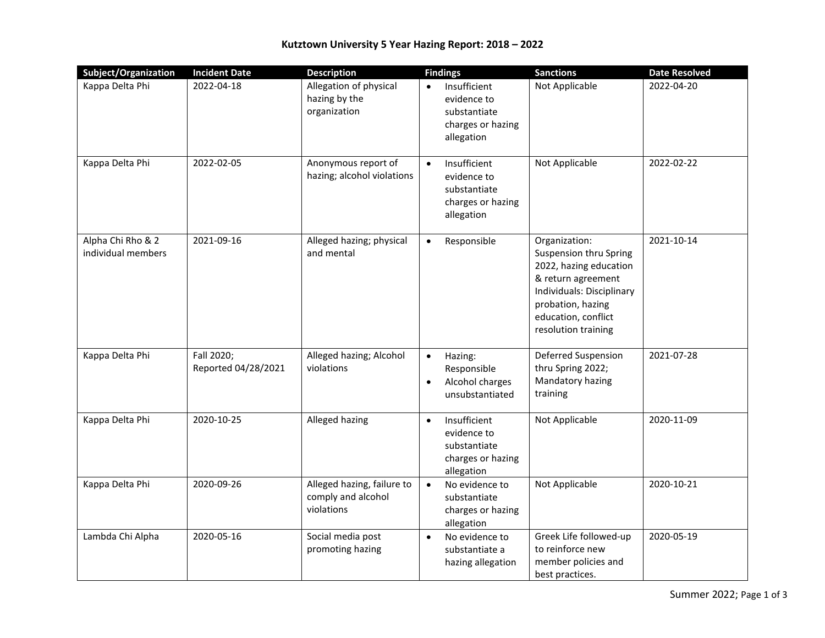| Subject/Organization                    | <b>Incident Date</b>              | <b>Description</b>                                             | <b>Findings</b>                                                                             | <b>Sanctions</b>                                                                                                                                                                        | <b>Date Resolved</b> |
|-----------------------------------------|-----------------------------------|----------------------------------------------------------------|---------------------------------------------------------------------------------------------|-----------------------------------------------------------------------------------------------------------------------------------------------------------------------------------------|----------------------|
| Kappa Delta Phi                         | 2022-04-18                        | Allegation of physical<br>hazing by the<br>organization        | Insufficient<br>evidence to<br>substantiate<br>charges or hazing<br>allegation              | Not Applicable                                                                                                                                                                          | 2022-04-20           |
| Kappa Delta Phi                         | 2022-02-05                        | Anonymous report of<br>hazing; alcohol violations              | Insufficient<br>$\bullet$<br>evidence to<br>substantiate<br>charges or hazing<br>allegation | Not Applicable                                                                                                                                                                          | 2022-02-22           |
| Alpha Chi Rho & 2<br>individual members | 2021-09-16                        | Alleged hazing; physical<br>and mental                         | Responsible<br>$\bullet$                                                                    | Organization:<br>Suspension thru Spring<br>2022, hazing education<br>& return agreement<br>Individuals: Disciplinary<br>probation, hazing<br>education, conflict<br>resolution training | 2021-10-14           |
| Kappa Delta Phi                         | Fall 2020;<br>Reported 04/28/2021 | Alleged hazing; Alcohol<br>violations                          | Hazing:<br>$\bullet$<br>Responsible<br>Alcohol charges<br>$\bullet$<br>unsubstantiated      | Deferred Suspension<br>thru Spring 2022;<br>Mandatory hazing<br>training                                                                                                                | 2021-07-28           |
| Kappa Delta Phi                         | 2020-10-25                        | Alleged hazing                                                 | Insufficient<br>$\bullet$<br>evidence to<br>substantiate<br>charges or hazing<br>allegation | Not Applicable                                                                                                                                                                          | 2020-11-09           |
| Kappa Delta Phi                         | 2020-09-26                        | Alleged hazing, failure to<br>comply and alcohol<br>violations | No evidence to<br>$\bullet$<br>substantiate<br>charges or hazing<br>allegation              | Not Applicable                                                                                                                                                                          | 2020-10-21           |
| Lambda Chi Alpha                        | 2020-05-16                        | Social media post<br>promoting hazing                          | No evidence to<br>$\bullet$<br>substantiate a<br>hazing allegation                          | Greek Life followed-up<br>to reinforce new<br>member policies and<br>best practices.                                                                                                    | 2020-05-19           |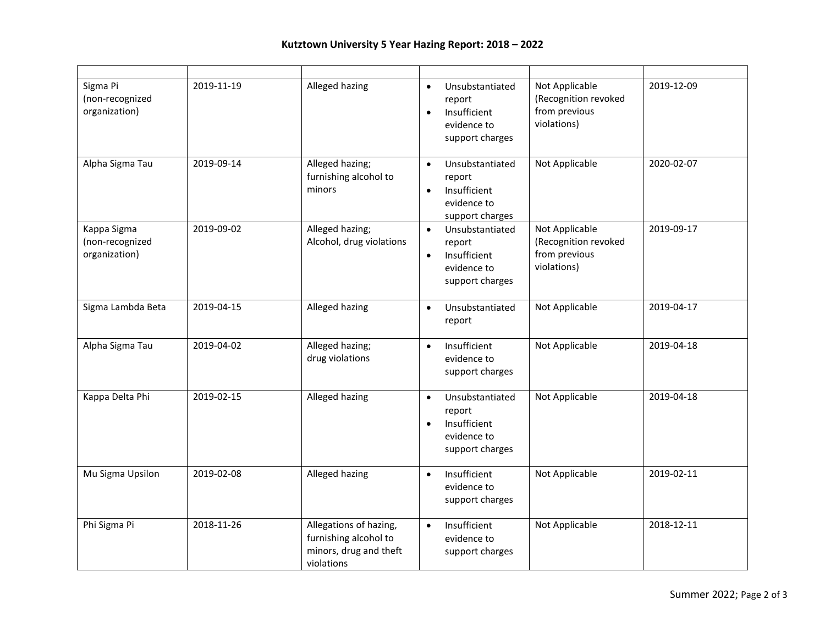| Sigma Pi<br>(non-recognized<br>organization)    | 2019-11-19 | Alleged hazing                                                                          | Unsubstantiated<br>$\bullet$<br>report<br>Insufficient<br>$\bullet$<br>evidence to<br>support charges | Not Applicable<br>(Recognition revoked<br>from previous<br>violations) | 2019-12-09 |
|-------------------------------------------------|------------|-----------------------------------------------------------------------------------------|-------------------------------------------------------------------------------------------------------|------------------------------------------------------------------------|------------|
| Alpha Sigma Tau                                 | 2019-09-14 | Alleged hazing;<br>furnishing alcohol to<br>minors                                      | Unsubstantiated<br>$\bullet$<br>report<br>Insufficient<br>evidence to<br>support charges              | Not Applicable                                                         | 2020-02-07 |
| Kappa Sigma<br>(non-recognized<br>organization) | 2019-09-02 | Alleged hazing;<br>Alcohol, drug violations                                             | Unsubstantiated<br>$\bullet$<br>report<br>Insufficient<br>$\bullet$<br>evidence to<br>support charges | Not Applicable<br>(Recognition revoked<br>from previous<br>violations) | 2019-09-17 |
| Sigma Lambda Beta                               | 2019-04-15 | Alleged hazing                                                                          | Unsubstantiated<br>$\bullet$<br>report                                                                | Not Applicable                                                         | 2019-04-17 |
| Alpha Sigma Tau                                 | 2019-04-02 | Alleged hazing;<br>drug violations                                                      | Insufficient<br>$\bullet$<br>evidence to<br>support charges                                           | Not Applicable                                                         | 2019-04-18 |
| Kappa Delta Phi                                 | 2019-02-15 | Alleged hazing                                                                          | Unsubstantiated<br>$\bullet$<br>report<br>Insufficient<br>evidence to<br>support charges              | Not Applicable                                                         | 2019-04-18 |
| Mu Sigma Upsilon                                | 2019-02-08 | Alleged hazing                                                                          | Insufficient<br>$\bullet$<br>evidence to<br>support charges                                           | Not Applicable                                                         | 2019-02-11 |
| Phi Sigma Pi                                    | 2018-11-26 | Allegations of hazing,<br>furnishing alcohol to<br>minors, drug and theft<br>violations | Insufficient<br>$\bullet$<br>evidence to<br>support charges                                           | Not Applicable                                                         | 2018-12-11 |